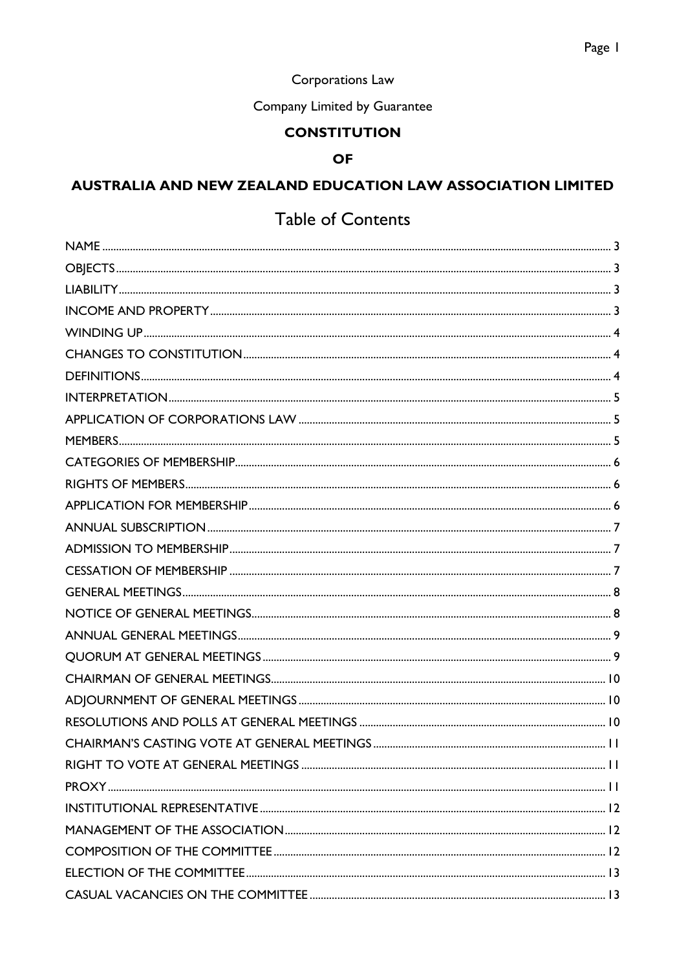# Corporations Law

# Company Limited by Guarantee

# **CONSTITUTION**

### **OF**

# **AUSTRALIA AND NEW ZEALAND EDUCATION LAW ASSOCIATION LIMITED**

# Table of Contents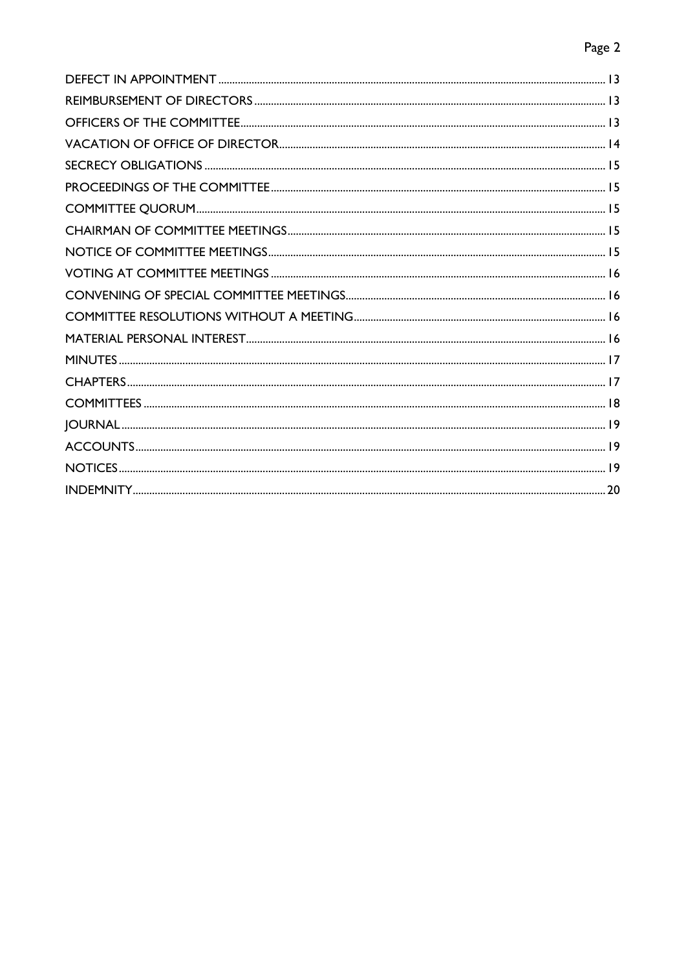# Page 2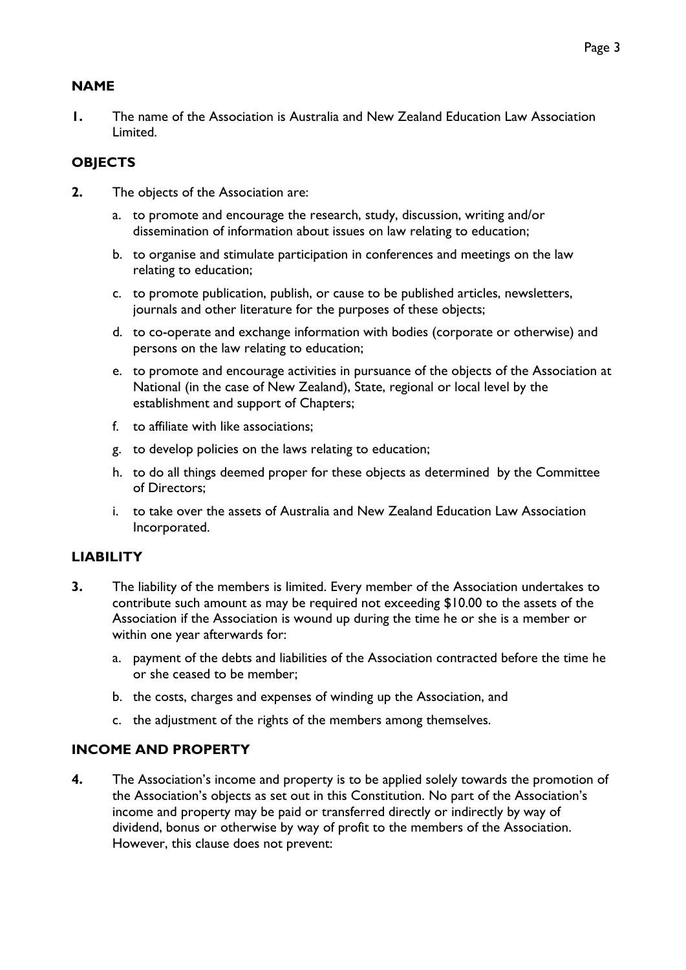# <span id="page-2-0"></span>**NAME**

**1.** The name of the Association is Australia and New Zealand Education Law Association Limited.

# <span id="page-2-1"></span>**OBJECTS**

- **2.** The objects of the Association are:
	- a. to promote and encourage the research, study, discussion, writing and/or dissemination of information about issues on law relating to education;
	- b. to organise and stimulate participation in conferences and meetings on the law relating to education;
	- c. to promote publication, publish, or cause to be published articles, newsletters, journals and other literature for the purposes of these objects;
	- d. to co-operate and exchange information with bodies (corporate or otherwise) and persons on the law relating to education;
	- e. to promote and encourage activities in pursuance of the objects of the Association at National (in the case of New Zealand), State, regional or local level by the establishment and support of Chapters;
	- f. to affiliate with like associations;
	- g. to develop policies on the laws relating to education;
	- h. to do all things deemed proper for these objects as determined by the Committee of Directors;
	- i. to take over the assets of Australia and New Zealand Education Law Association Incorporated.

### <span id="page-2-2"></span>**LIABILITY**

- **3.** The liability of the members is limited. Every member of the Association undertakes to contribute such amount as may be required not exceeding \$10.00 to the assets of the Association if the Association is wound up during the time he or she is a member or within one year afterwards for:
	- a. payment of the debts and liabilities of the Association contracted before the time he or she ceased to be member;
	- b. the costs, charges and expenses of winding up the Association, and
	- c. the adjustment of the rights of the members among themselves.

### <span id="page-2-3"></span>**INCOME AND PROPERTY**

**4.** The Association's income and property is to be applied solely towards the promotion of the Association's objects as set out in this Constitution. No part of the Association's income and property may be paid or transferred directly or indirectly by way of dividend, bonus or otherwise by way of profit to the members of the Association. However, this clause does not prevent: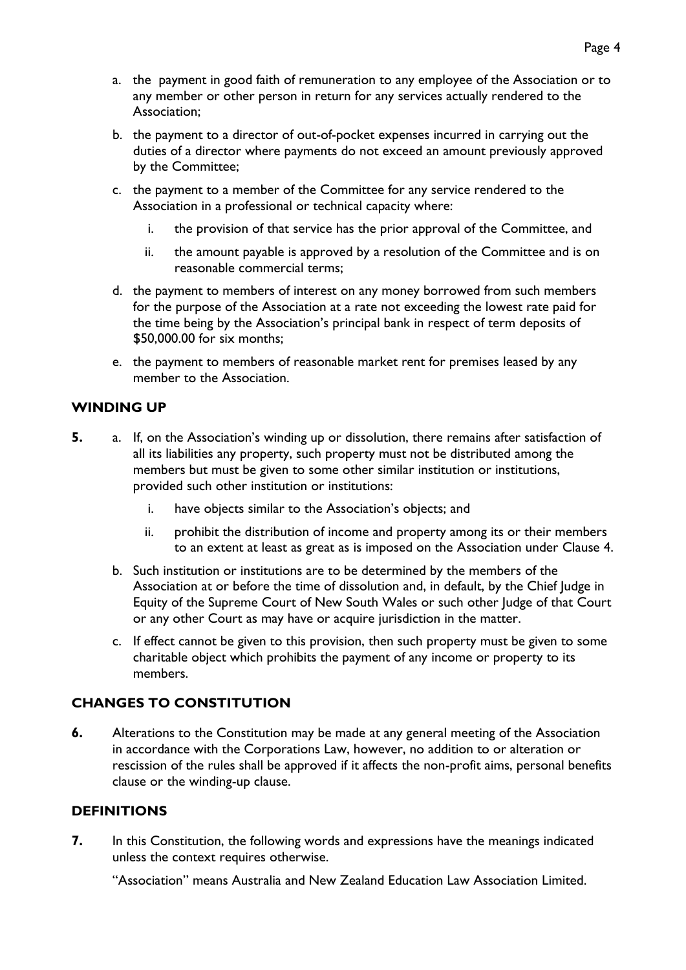- a. the payment in good faith of remuneration to any employee of the Association or to any member or other person in return for any services actually rendered to the Association;
- b. the payment to a director of out-of-pocket expenses incurred in carrying out the duties of a director where payments do not exceed an amount previously approved by the Committee;
- c. the payment to a member of the Committee for any service rendered to the Association in a professional or technical capacity where:
	- i. the provision of that service has the prior approval of the Committee, and
	- ii. the amount payable is approved by a resolution of the Committee and is on reasonable commercial terms;
- d. the payment to members of interest on any money borrowed from such members for the purpose of the Association at a rate not exceeding the lowest rate paid for the time being by the Association's principal bank in respect of term deposits of \$50,000.00 for six months;
- e. the payment to members of reasonable market rent for premises leased by any member to the Association.

### <span id="page-3-0"></span>**WINDING UP**

- **5.** a. If, on the Association's winding up or dissolution, there remains after satisfaction of all its liabilities any property, such property must not be distributed among the members but must be given to some other similar institution or institutions, provided such other institution or institutions:
	- i. have objects similar to the Association's objects; and
	- ii. prohibit the distribution of income and property among its or their members to an extent at least as great as is imposed on the Association under Clause 4.
	- b. Such institution or institutions are to be determined by the members of the Association at or before the time of dissolution and, in default, by the Chief Judge in Equity of the Supreme Court of New South Wales or such other Judge of that Court or any other Court as may have or acquire jurisdiction in the matter.
	- c. If effect cannot be given to this provision, then such property must be given to some charitable object which prohibits the payment of any income or property to its members.

### <span id="page-3-1"></span>**CHANGES TO CONSTITUTION**

**6.** Alterations to the Constitution may be made at any general meeting of the Association in accordance with the Corporations Law, however, no addition to or alteration or rescission of the rules shall be approved if it affects the non-profit aims, personal benefits clause or the winding-up clause.

### <span id="page-3-2"></span>**DEFINITIONS**

**7.** In this Constitution, the following words and expressions have the meanings indicated unless the context requires otherwise.

"Association" means Australia and New Zealand Education Law Association Limited.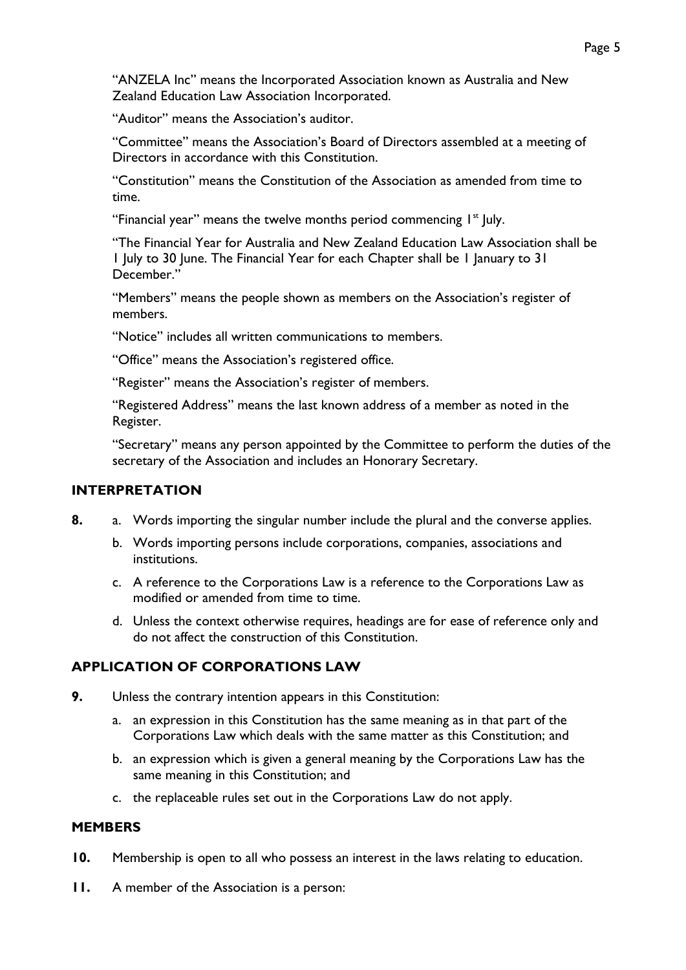"ANZELA Inc" means the Incorporated Association known as Australia and New Zealand Education Law Association Incorporated.

"Auditor" means the Association's auditor.

"Committee" means the Association's Board of Directors assembled at a meeting of Directors in accordance with this Constitution.

"Constitution" means the Constitution of the Association as amended from time to time.

"Financial year" means the twelve months period commencing  $I<sup>st</sup>$  July.

"The Financial Year for Australia and New Zealand Education Law Association shall be 1 July to 30 June. The Financial Year for each Chapter shall be 1 January to 31 December."

"Members" means the people shown as members on the Association's register of members.

"Notice" includes all written communications to members.

"Office" means the Association's registered office.

"Register" means the Association's register of members.

"Registered Address" means the last known address of a member as noted in the Register.

"Secretary" means any person appointed by the Committee to perform the duties of the secretary of the Association and includes an Honorary Secretary.

### <span id="page-4-0"></span>**INTERPRETATION**

- **8.** a. Words importing the singular number include the plural and the converse applies.
	- b. Words importing persons include corporations, companies, associations and institutions.
	- c. A reference to the Corporations Law is a reference to the Corporations Law as modified or amended from time to time.
	- d. Unless the context otherwise requires, headings are for ease of reference only and do not affect the construction of this Constitution.

#### <span id="page-4-1"></span>**APPLICATION OF CORPORATIONS LAW**

- **9.** Unless the contrary intention appears in this Constitution:
	- a. an expression in this Constitution has the same meaning as in that part of the Corporations Law which deals with the same matter as this Constitution; and
	- b. an expression which is given a general meaning by the Corporations Law has the same meaning in this Constitution; and
	- c. the replaceable rules set out in the Corporations Law do not apply.

### <span id="page-4-2"></span>**MEMBERS**

- **10.** Membership is open to all who possess an interest in the laws relating to education.
- **11.** A member of the Association is a person: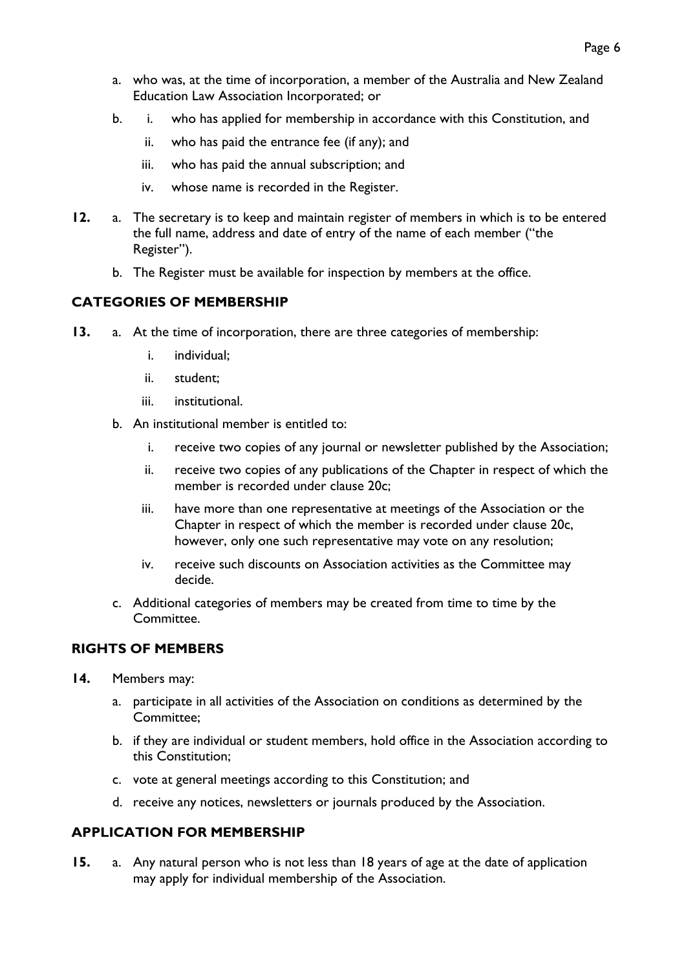- a. who was, at the time of incorporation, a member of the Australia and New Zealand Education Law Association Incorporated; or
- b. i. who has applied for membership in accordance with this Constitution, and
	- ii. who has paid the entrance fee (if any); and
	- iii. who has paid the annual subscription; and
	- iv. whose name is recorded in the Register.
- **12.** a. The secretary is to keep and maintain register of members in which is to be entered the full name, address and date of entry of the name of each member ("the Register").
	- b. The Register must be available for inspection by members at the office.

### <span id="page-5-0"></span>**CATEGORIES OF MEMBERSHIP**

- **13.** a. At the time of incorporation, there are three categories of membership:
	- i. individual;
	- ii. student;
	- iii. institutional.
	- b. An institutional member is entitled to:
		- i. receive two copies of any journal or newsletter published by the Association;
		- ii. receive two copies of any publications of the Chapter in respect of which the member is recorded under clause 20c;
		- iii. have more than one representative at meetings of the Association or the Chapter in respect of which the member is recorded under clause 20c, however, only one such representative may vote on any resolution;
		- iv. receive such discounts on Association activities as the Committee may decide.
	- c. Additional categories of members may be created from time to time by the Committee.

# <span id="page-5-1"></span>**RIGHTS OF MEMBERS**

- **14.** Members may:
	- a. participate in all activities of the Association on conditions as determined by the Committee;
	- b. if they are individual or student members, hold office in the Association according to this Constitution;
	- c. vote at general meetings according to this Constitution; and
	- d. receive any notices, newsletters or journals produced by the Association.

### <span id="page-5-2"></span>**APPLICATION FOR MEMBERSHIP**

**15.** a. Any natural person who is not less than 18 years of age at the date of application may apply for individual membership of the Association.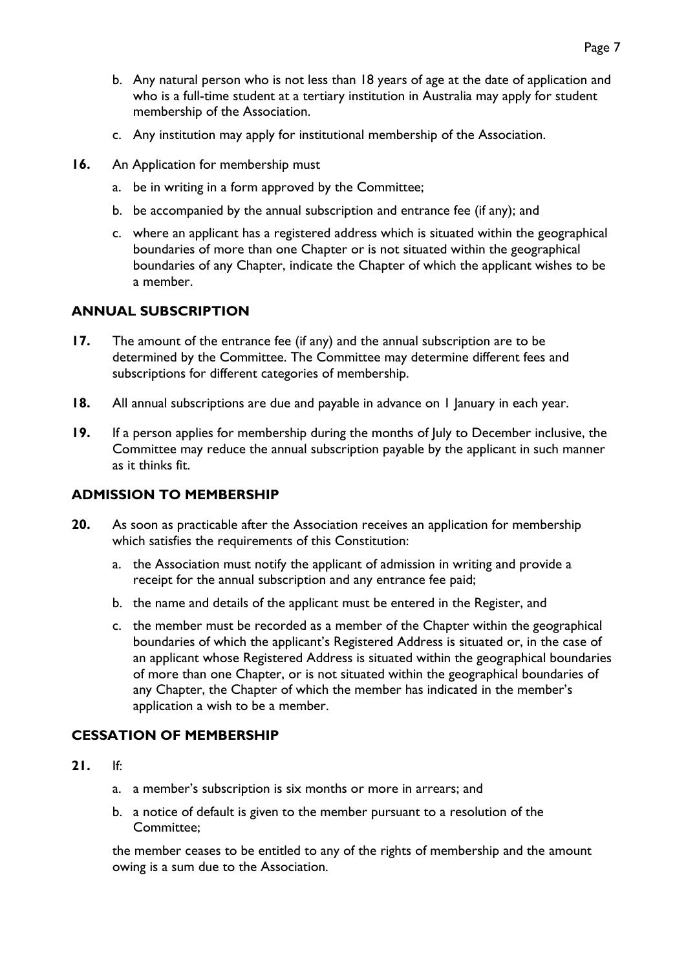- b. Any natural person who is not less than 18 years of age at the date of application and who is a full-time student at a tertiary institution in Australia may apply for student membership of the Association.
- c. Any institution may apply for institutional membership of the Association.
- **16.** An Application for membership must
	- a. be in writing in a form approved by the Committee;
	- b. be accompanied by the annual subscription and entrance fee (if any); and
	- c. where an applicant has a registered address which is situated within the geographical boundaries of more than one Chapter or is not situated within the geographical boundaries of any Chapter, indicate the Chapter of which the applicant wishes to be a member.

### <span id="page-6-0"></span>**ANNUAL SUBSCRIPTION**

- **17.** The amount of the entrance fee (if any) and the annual subscription are to be determined by the Committee. The Committee may determine different fees and subscriptions for different categories of membership.
- **18.** All annual subscriptions are due and payable in advance on 1 January in each year.
- **19.** If a person applies for membership during the months of July to December inclusive, the Committee may reduce the annual subscription payable by the applicant in such manner as it thinks fit.

### <span id="page-6-1"></span>**ADMISSION TO MEMBERSHIP**

- **20.** As soon as practicable after the Association receives an application for membership which satisfies the requirements of this Constitution:
	- a. the Association must notify the applicant of admission in writing and provide a receipt for the annual subscription and any entrance fee paid;
	- b. the name and details of the applicant must be entered in the Register, and
	- c. the member must be recorded as a member of the Chapter within the geographical boundaries of which the applicant's Registered Address is situated or, in the case of an applicant whose Registered Address is situated within the geographical boundaries of more than one Chapter, or is not situated within the geographical boundaries of any Chapter, the Chapter of which the member has indicated in the member's application a wish to be a member.

### <span id="page-6-2"></span>**CESSATION OF MEMBERSHIP**

- **21.** If:
	- a. a member's subscription is six months or more in arrears; and
	- b. a notice of default is given to the member pursuant to a resolution of the Committee;

the member ceases to be entitled to any of the rights of membership and the amount owing is a sum due to the Association.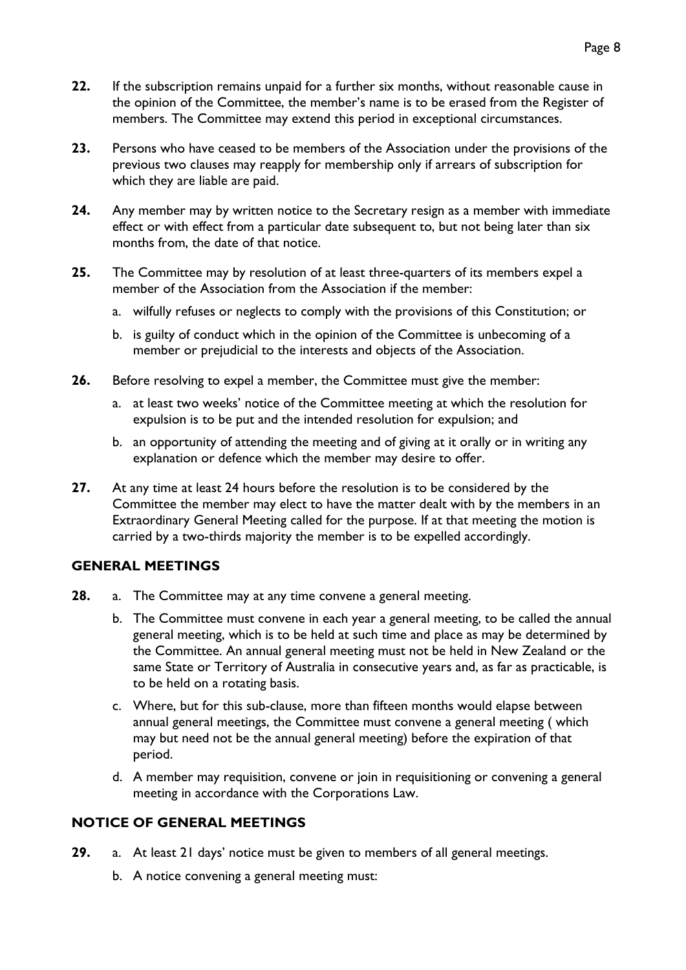- **22.** If the subscription remains unpaid for a further six months, without reasonable cause in the opinion of the Committee, the member's name is to be erased from the Register of members. The Committee may extend this period in exceptional circumstances.
- **23.** Persons who have ceased to be members of the Association under the provisions of the previous two clauses may reapply for membership only if arrears of subscription for which they are liable are paid.
- **24.** Any member may by written notice to the Secretary resign as a member with immediate effect or with effect from a particular date subsequent to, but not being later than six months from, the date of that notice.
- **25.** The Committee may by resolution of at least three-quarters of its members expel a member of the Association from the Association if the member:
	- a. wilfully refuses or neglects to comply with the provisions of this Constitution; or
	- b. is guilty of conduct which in the opinion of the Committee is unbecoming of a member or prejudicial to the interests and objects of the Association.
- **26.** Before resolving to expel a member, the Committee must give the member:
	- a. at least two weeks' notice of the Committee meeting at which the resolution for expulsion is to be put and the intended resolution for expulsion; and
	- b. an opportunity of attending the meeting and of giving at it orally or in writing any explanation or defence which the member may desire to offer.
- **27.** At any time at least 24 hours before the resolution is to be considered by the Committee the member may elect to have the matter dealt with by the members in an Extraordinary General Meeting called for the purpose. If at that meeting the motion is carried by a two-thirds majority the member is to be expelled accordingly.

#### <span id="page-7-0"></span>**GENERAL MEETINGS**

- **28.** a. The Committee may at any time convene a general meeting.
	- b. The Committee must convene in each year a general meeting, to be called the annual general meeting, which is to be held at such time and place as may be determined by the Committee. An annual general meeting must not be held in New Zealand or the same State or Territory of Australia in consecutive years and, as far as practicable, is to be held on a rotating basis.
	- c. Where, but for this sub-clause, more than fifteen months would elapse between annual general meetings, the Committee must convene a general meeting ( which may but need not be the annual general meeting) before the expiration of that period.
	- d. A member may requisition, convene or join in requisitioning or convening a general meeting in accordance with the Corporations Law.

#### <span id="page-7-1"></span>**NOTICE OF GENERAL MEETINGS**

- **29.** a. At least 21 days' notice must be given to members of all general meetings.
	- b. A notice convening a general meeting must: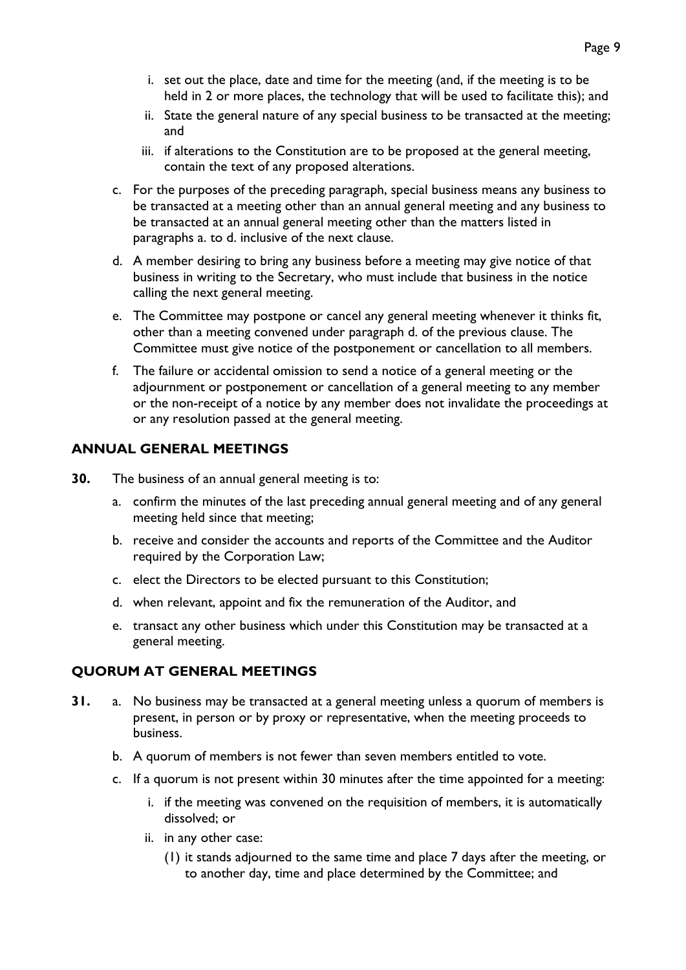- i. set out the place, date and time for the meeting (and, if the meeting is to be held in 2 or more places, the technology that will be used to facilitate this); and
- ii. State the general nature of any special business to be transacted at the meeting; and
- iii. if alterations to the Constitution are to be proposed at the general meeting, contain the text of any proposed alterations.
- c. For the purposes of the preceding paragraph, special business means any business to be transacted at a meeting other than an annual general meeting and any business to be transacted at an annual general meeting other than the matters listed in paragraphs a. to d. inclusive of the next clause.
- d. A member desiring to bring any business before a meeting may give notice of that business in writing to the Secretary, who must include that business in the notice calling the next general meeting.
- e. The Committee may postpone or cancel any general meeting whenever it thinks fit, other than a meeting convened under paragraph d. of the previous clause. The Committee must give notice of the postponement or cancellation to all members.
- f. The failure or accidental omission to send a notice of a general meeting or the adjournment or postponement or cancellation of a general meeting to any member or the non-receipt of a notice by any member does not invalidate the proceedings at or any resolution passed at the general meeting.

### <span id="page-8-0"></span>**ANNUAL GENERAL MEETINGS**

**30.** The business of an annual general meeting is to:

- a. confirm the minutes of the last preceding annual general meeting and of any general meeting held since that meeting;
- b. receive and consider the accounts and reports of the Committee and the Auditor required by the Corporation Law;
- c. elect the Directors to be elected pursuant to this Constitution;
- d. when relevant, appoint and fix the remuneration of the Auditor, and
- e. transact any other business which under this Constitution may be transacted at a general meeting.

### <span id="page-8-1"></span>**QUORUM AT GENERAL MEETINGS**

- **31.** a. No business may be transacted at a general meeting unless a quorum of members is present, in person or by proxy or representative, when the meeting proceeds to business.
	- b. A quorum of members is not fewer than seven members entitled to vote.
	- c. If a quorum is not present within 30 minutes after the time appointed for a meeting:
		- i. if the meeting was convened on the requisition of members, it is automatically dissolved; or
		- ii. in any other case:
			- (1) it stands adjourned to the same time and place 7 days after the meeting, or to another day, time and place determined by the Committee; and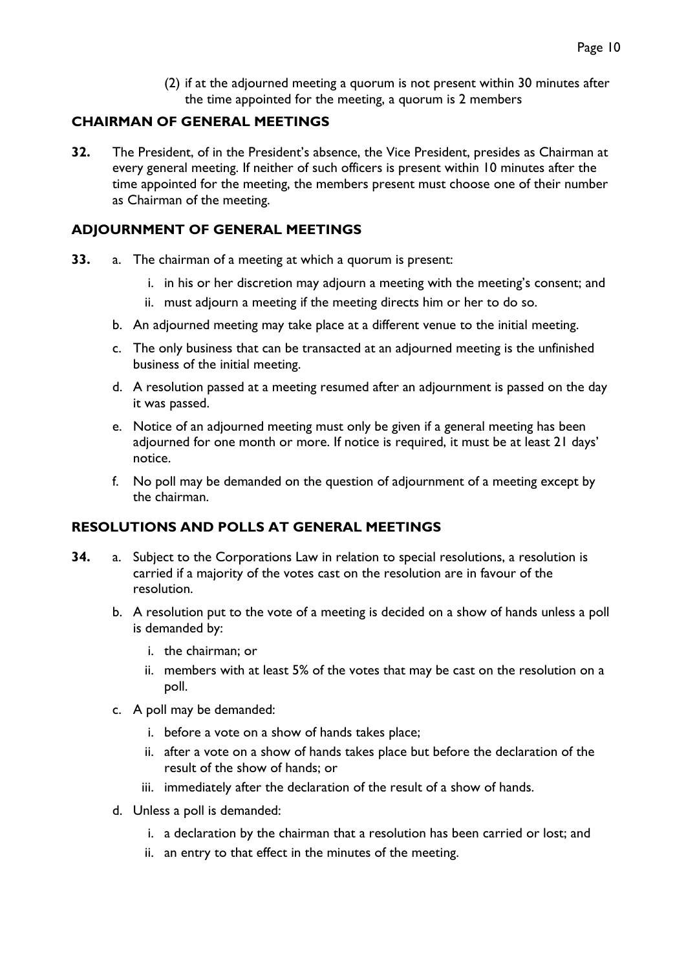(2) if at the adjourned meeting a quorum is not present within 30 minutes after the time appointed for the meeting, a quorum is 2 members

### <span id="page-9-0"></span>**CHAIRMAN OF GENERAL MEETINGS**

**32.** The President, of in the President's absence, the Vice President, presides as Chairman at every general meeting. If neither of such officers is present within 10 minutes after the time appointed for the meeting, the members present must choose one of their number as Chairman of the meeting.

### <span id="page-9-1"></span>**ADJOURNMENT OF GENERAL MEETINGS**

- **33.** a. The chairman of a meeting at which a quorum is present:
	- i. in his or her discretion may adjourn a meeting with the meeting's consent; and
	- ii. must adjourn a meeting if the meeting directs him or her to do so.
	- b. An adjourned meeting may take place at a different venue to the initial meeting.
	- c. The only business that can be transacted at an adjourned meeting is the unfinished business of the initial meeting.
	- d. A resolution passed at a meeting resumed after an adjournment is passed on the day it was passed.
	- e. Notice of an adjourned meeting must only be given if a general meeting has been adjourned for one month or more. If notice is required, it must be at least 21 days' notice.
	- f. No poll may be demanded on the question of adjournment of a meeting except by the chairman.

### <span id="page-9-2"></span>**RESOLUTIONS AND POLLS AT GENERAL MEETINGS**

- **34.** a. Subject to the Corporations Law in relation to special resolutions, a resolution is carried if a majority of the votes cast on the resolution are in favour of the resolution.
	- b. A resolution put to the vote of a meeting is decided on a show of hands unless a poll is demanded by:
		- i. the chairman; or
		- ii. members with at least 5% of the votes that may be cast on the resolution on a poll.
	- c. A poll may be demanded:
		- i. before a vote on a show of hands takes place;
		- ii. after a vote on a show of hands takes place but before the declaration of the result of the show of hands; or
		- iii. immediately after the declaration of the result of a show of hands.
	- d. Unless a poll is demanded:
		- i. a declaration by the chairman that a resolution has been carried or lost; and
		- ii. an entry to that effect in the minutes of the meeting.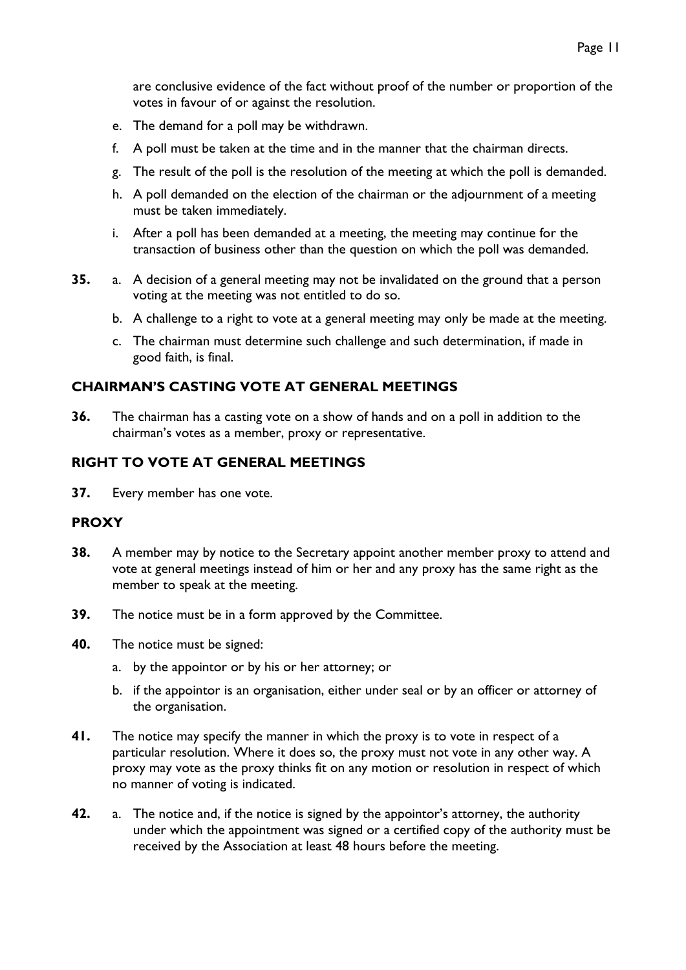are conclusive evidence of the fact without proof of the number or proportion of the votes in favour of or against the resolution.

- e. The demand for a poll may be withdrawn.
- f. A poll must be taken at the time and in the manner that the chairman directs.
- g. The result of the poll is the resolution of the meeting at which the poll is demanded.
- h. A poll demanded on the election of the chairman or the adjournment of a meeting must be taken immediately.
- i. After a poll has been demanded at a meeting, the meeting may continue for the transaction of business other than the question on which the poll was demanded.
- **35.** a. A decision of a general meeting may not be invalidated on the ground that a person voting at the meeting was not entitled to do so.
	- b. A challenge to a right to vote at a general meeting may only be made at the meeting.
	- c. The chairman must determine such challenge and such determination, if made in good faith, is final.

### <span id="page-10-0"></span>**CHAIRMAN'S CASTING VOTE AT GENERAL MEETINGS**

**36.** The chairman has a casting vote on a show of hands and on a poll in addition to the chairman's votes as a member, proxy or representative.

#### <span id="page-10-1"></span>**RIGHT TO VOTE AT GENERAL MEETINGS**

**37.** Every member has one vote.

#### <span id="page-10-2"></span>**PROXY**

- **38.** A member may by notice to the Secretary appoint another member proxy to attend and vote at general meetings instead of him or her and any proxy has the same right as the member to speak at the meeting.
- **39.** The notice must be in a form approved by the Committee.
- **40.** The notice must be signed:
	- a. by the appointor or by his or her attorney; or
	- b. if the appointor is an organisation, either under seal or by an officer or attorney of the organisation.
- **41.** The notice may specify the manner in which the proxy is to vote in respect of a particular resolution. Where it does so, the proxy must not vote in any other way. A proxy may vote as the proxy thinks fit on any motion or resolution in respect of which no manner of voting is indicated.
- **42.** a. The notice and, if the notice is signed by the appointor's attorney, the authority under which the appointment was signed or a certified copy of the authority must be received by the Association at least 48 hours before the meeting.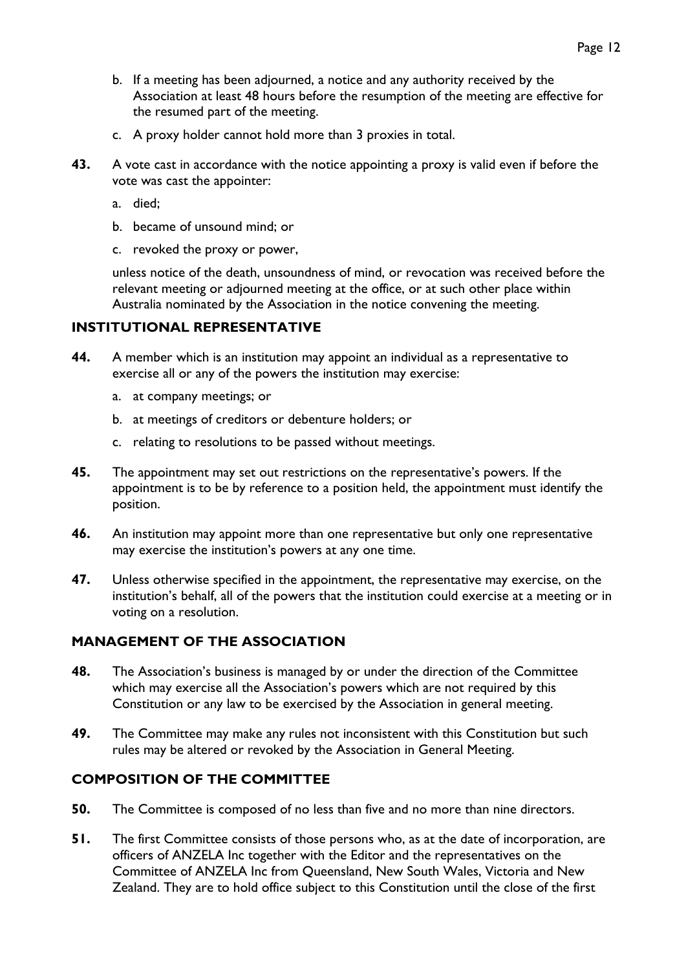- b. If a meeting has been adjourned, a notice and any authority received by the Association at least 48 hours before the resumption of the meeting are effective for the resumed part of the meeting.
- c. A proxy holder cannot hold more than 3 proxies in total.
- **43.** A vote cast in accordance with the notice appointing a proxy is valid even if before the vote was cast the appointer:
	- a. died;
	- b. became of unsound mind; or
	- c. revoked the proxy or power,

unless notice of the death, unsoundness of mind, or revocation was received before the relevant meeting or adjourned meeting at the office, or at such other place within Australia nominated by the Association in the notice convening the meeting.

#### <span id="page-11-0"></span>**INSTITUTIONAL REPRESENTATIVE**

- **44.** A member which is an institution may appoint an individual as a representative to exercise all or any of the powers the institution may exercise:
	- a. at company meetings; or
	- b. at meetings of creditors or debenture holders; or
	- c. relating to resolutions to be passed without meetings.
- **45.** The appointment may set out restrictions on the representative's powers. If the appointment is to be by reference to a position held, the appointment must identify the position.
- **46.** An institution may appoint more than one representative but only one representative may exercise the institution's powers at any one time.
- **47.** Unless otherwise specified in the appointment, the representative may exercise, on the institution's behalf, all of the powers that the institution could exercise at a meeting or in voting on a resolution.

### <span id="page-11-1"></span>**MANAGEMENT OF THE ASSOCIATION**

- **48.** The Association's business is managed by or under the direction of the Committee which may exercise all the Association's powers which are not required by this Constitution or any law to be exercised by the Association in general meeting.
- **49.** The Committee may make any rules not inconsistent with this Constitution but such rules may be altered or revoked by the Association in General Meeting.

### <span id="page-11-2"></span>**COMPOSITION OF THE COMMITTEE**

- **50.** The Committee is composed of no less than five and no more than nine directors.
- **51.** The first Committee consists of those persons who, as at the date of incorporation, are officers of ANZELA Inc together with the Editor and the representatives on the Committee of ANZELA Inc from Queensland, New South Wales, Victoria and New Zealand. They are to hold office subject to this Constitution until the close of the first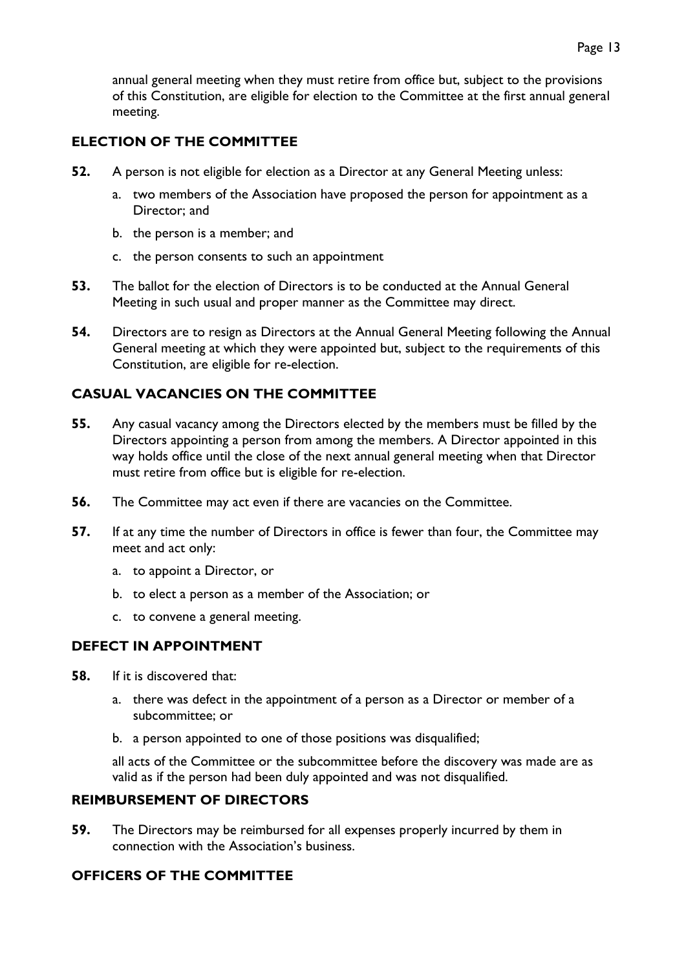# <span id="page-12-0"></span>**ELECTION OF THE COMMITTEE**

- **52.** A person is not eligible for election as a Director at any General Meeting unless:
	- a. two members of the Association have proposed the person for appointment as a Director; and
	- b. the person is a member; and
	- c. the person consents to such an appointment
- **53.** The ballot for the election of Directors is to be conducted at the Annual General Meeting in such usual and proper manner as the Committee may direct.
- **54.** Directors are to resign as Directors at the Annual General Meeting following the Annual General meeting at which they were appointed but, subject to the requirements of this Constitution, are eligible for re-election.

# <span id="page-12-1"></span>**CASUAL VACANCIES ON THE COMMITTEE**

- **55.** Any casual vacancy among the Directors elected by the members must be filled by the Directors appointing a person from among the members. A Director appointed in this way holds office until the close of the next annual general meeting when that Director must retire from office but is eligible for re-election.
- **56.** The Committee may act even if there are vacancies on the Committee.
- **57.** If at any time the number of Directors in office is fewer than four, the Committee may meet and act only:
	- a. to appoint a Director, or
	- b. to elect a person as a member of the Association; or
	- c. to convene a general meeting.

### <span id="page-12-2"></span>**DEFECT IN APPOINTMENT**

- **58.** If it is discovered that:
	- a. there was defect in the appointment of a person as a Director or member of a subcommittee; or
	- b. a person appointed to one of those positions was disqualified;

all acts of the Committee or the subcommittee before the discovery was made are as valid as if the person had been duly appointed and was not disqualified.

### <span id="page-12-3"></span>**REIMBURSEMENT OF DIRECTORS**

**59.** The Directors may be reimbursed for all expenses properly incurred by them in connection with the Association's business.

### <span id="page-12-4"></span>**OFFICERS OF THE COMMITTEE**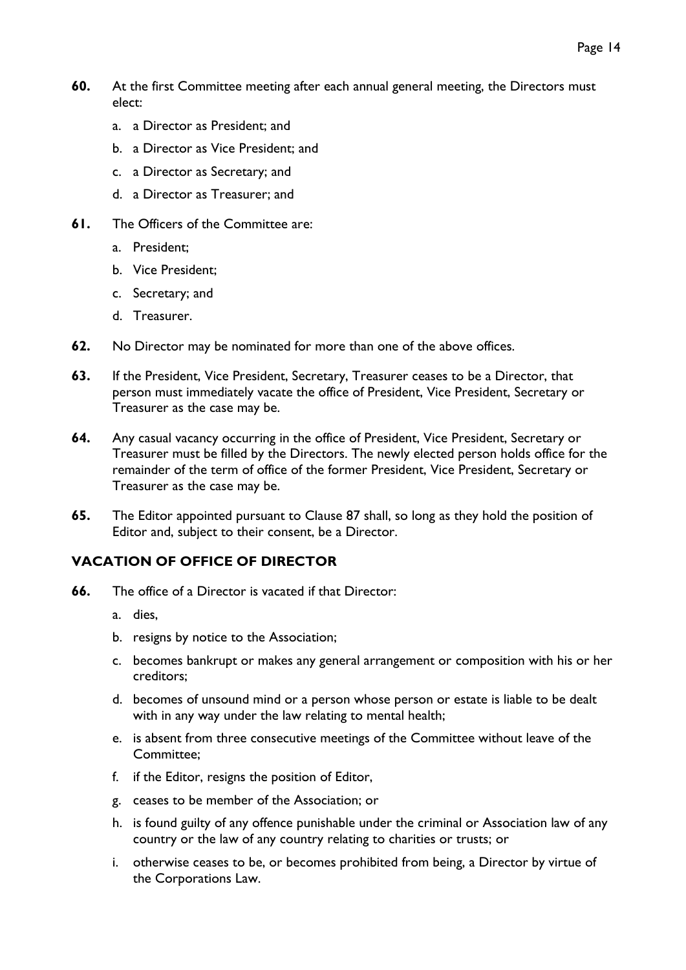- **60.** At the first Committee meeting after each annual general meeting, the Directors must elect:
	- a. a Director as President; and
	- b. a Director as Vice President; and
	- c. a Director as Secretary; and
	- d. a Director as Treasurer; and
- **61.** The Officers of the Committee are:
	- a. President;
	- b. Vice President;
	- c. Secretary; and
	- d. Treasurer.
- **62.** No Director may be nominated for more than one of the above offices.
- **63.** If the President, Vice President, Secretary, Treasurer ceases to be a Director, that person must immediately vacate the office of President, Vice President, Secretary or Treasurer as the case may be.
- **64.** Any casual vacancy occurring in the office of President, Vice President, Secretary or Treasurer must be filled by the Directors. The newly elected person holds office for the remainder of the term of office of the former President, Vice President, Secretary or Treasurer as the case may be.
- **65.** The Editor appointed pursuant to Clause 87 shall, so long as they hold the position of Editor and, subject to their consent, be a Director.

### <span id="page-13-0"></span>**VACATION OF OFFICE OF DIRECTOR**

- **66.** The office of a Director is vacated if that Director:
	- a. dies,
	- b. resigns by notice to the Association;
	- c. becomes bankrupt or makes any general arrangement or composition with his or her creditors;
	- d. becomes of unsound mind or a person whose person or estate is liable to be dealt with in any way under the law relating to mental health;
	- e. is absent from three consecutive meetings of the Committee without leave of the Committee;
	- f. if the Editor, resigns the position of Editor,
	- g. ceases to be member of the Association; or
	- h. is found guilty of any offence punishable under the criminal or Association law of any country or the law of any country relating to charities or trusts; or
	- i. otherwise ceases to be, or becomes prohibited from being, a Director by virtue of the Corporations Law.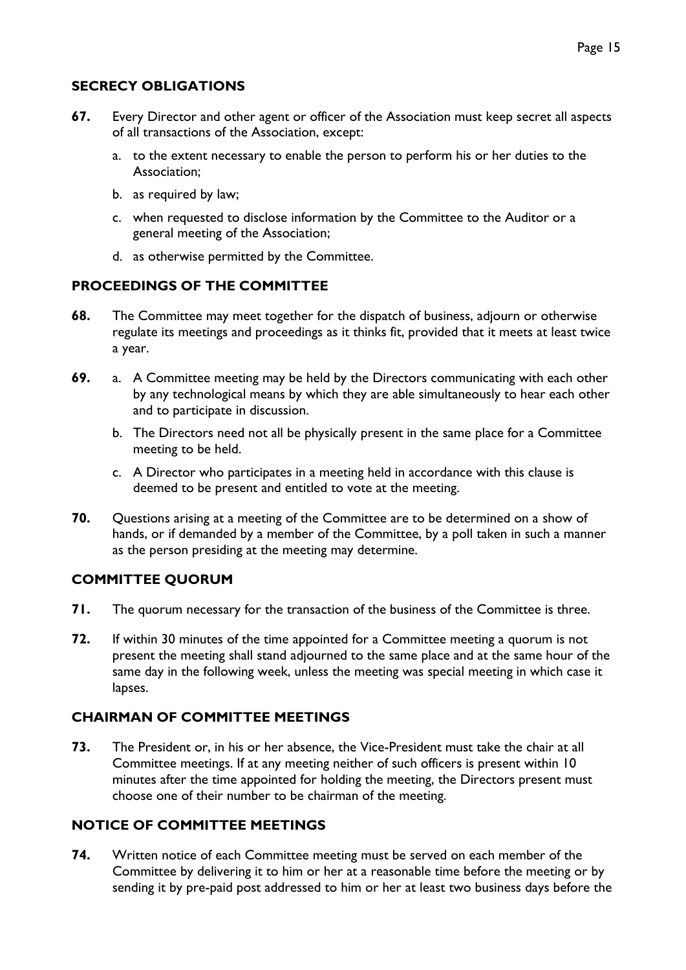# <span id="page-14-0"></span>**SECRECY OBLIGATIONS**

- **67.** Every Director and other agent or officer of the Association must keep secret all aspects of all transactions of the Association, except:
	- a. to the extent necessary to enable the person to perform his or her duties to the Association;
	- b. as required by law;
	- c. when requested to disclose information by the Committee to the Auditor or a general meeting of the Association;
	- d. as otherwise permitted by the Committee.

### <span id="page-14-1"></span>**PROCEEDINGS OF THE COMMITTEE**

- **68.** The Committee may meet together for the dispatch of business, adjourn or otherwise regulate its meetings and proceedings as it thinks fit, provided that it meets at least twice a year.
- **69.** a. A Committee meeting may be held by the Directors communicating with each other by any technological means by which they are able simultaneously to hear each other and to participate in discussion.
	- b. The Directors need not all be physically present in the same place for a Committee meeting to be held.
	- c. A Director who participates in a meeting held in accordance with this clause is deemed to be present and entitled to vote at the meeting.
- **70.** Questions arising at a meeting of the Committee are to be determined on a show of hands, or if demanded by a member of the Committee, by a poll taken in such a manner as the person presiding at the meeting may determine.

# <span id="page-14-2"></span>**COMMITTEE QUORUM**

- **71.** The quorum necessary for the transaction of the business of the Committee is three.
- **72.** If within 30 minutes of the time appointed for a Committee meeting a quorum is not present the meeting shall stand adjourned to the same place and at the same hour of the same day in the following week, unless the meeting was special meeting in which case it lapses.

### <span id="page-14-3"></span>**CHAIRMAN OF COMMITTEE MEETINGS**

**73.** The President or, in his or her absence, the Vice-President must take the chair at all Committee meetings. If at any meeting neither of such officers is present within 10 minutes after the time appointed for holding the meeting, the Directors present must choose one of their number to be chairman of the meeting.

### <span id="page-14-4"></span>**NOTICE OF COMMITTEE MEETINGS**

**74.** Written notice of each Committee meeting must be served on each member of the Committee by delivering it to him or her at a reasonable time before the meeting or by sending it by pre-paid post addressed to him or her at least two business days before the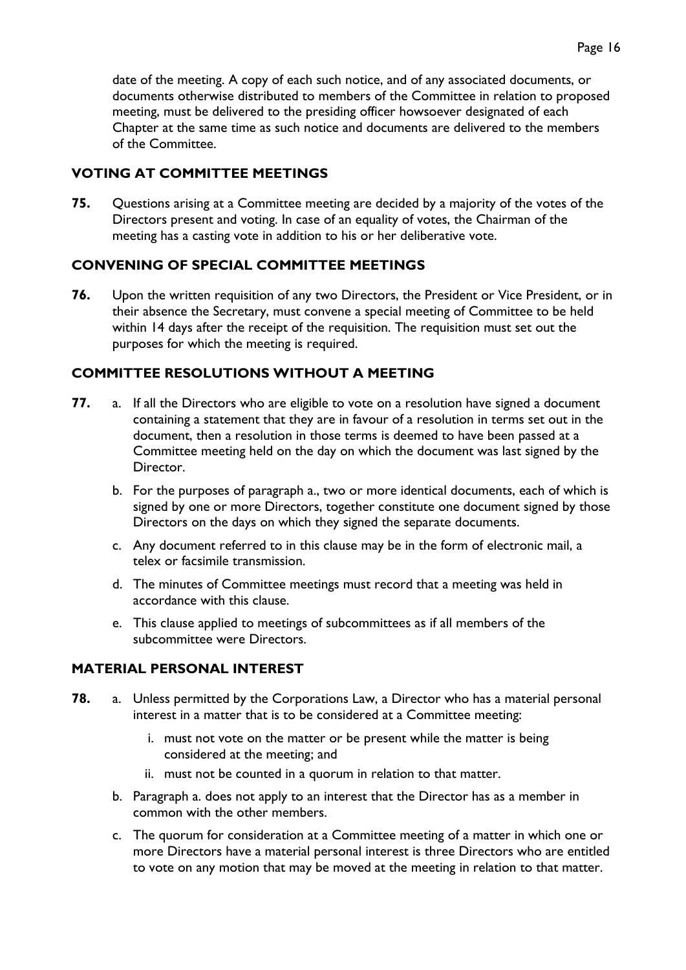date of the meeting. A copy of each such notice, and of any associated documents, or documents otherwise distributed to members of the Committee in relation to proposed meeting, must be delivered to the presiding officer howsoever designated of each Chapter at the same time as such notice and documents are delivered to the members of the Committee.

# <span id="page-15-0"></span>**VOTING AT COMMITTEE MEETINGS**

**75.** Questions arising at a Committee meeting are decided by a majority of the votes of the Directors present and voting. In case of an equality of votes, the Chairman of the meeting has a casting vote in addition to his or her deliberative vote.

### <span id="page-15-1"></span>**CONVENING OF SPECIAL COMMITTEE MEETINGS**

**76.** Upon the written requisition of any two Directors, the President or Vice President, or in their absence the Secretary, must convene a special meeting of Committee to be held within 14 days after the receipt of the requisition. The requisition must set out the purposes for which the meeting is required.

# <span id="page-15-2"></span>**COMMITTEE RESOLUTIONS WITHOUT A MEETING**

- **77.** a. If all the Directors who are eligible to vote on a resolution have signed a document containing a statement that they are in favour of a resolution in terms set out in the document, then a resolution in those terms is deemed to have been passed at a Committee meeting held on the day on which the document was last signed by the Director.
	- b. For the purposes of paragraph a., two or more identical documents, each of which is signed by one or more Directors, together constitute one document signed by those Directors on the days on which they signed the separate documents.
	- c. Any document referred to in this clause may be in the form of electronic mail, a telex or facsimile transmission.
	- d. The minutes of Committee meetings must record that a meeting was held in accordance with this clause.
	- e. This clause applied to meetings of subcommittees as if all members of the subcommittee were Directors.

### <span id="page-15-3"></span>**MATERIAL PERSONAL INTEREST**

- **78.** a. Unless permitted by the Corporations Law, a Director who has a material personal interest in a matter that is to be considered at a Committee meeting:
	- i. must not vote on the matter or be present while the matter is being considered at the meeting; and
	- ii. must not be counted in a quorum in relation to that matter.
	- b. Paragraph a. does not apply to an interest that the Director has as a member in common with the other members.
	- c. The quorum for consideration at a Committee meeting of a matter in which one or more Directors have a material personal interest is three Directors who are entitled to vote on any motion that may be moved at the meeting in relation to that matter.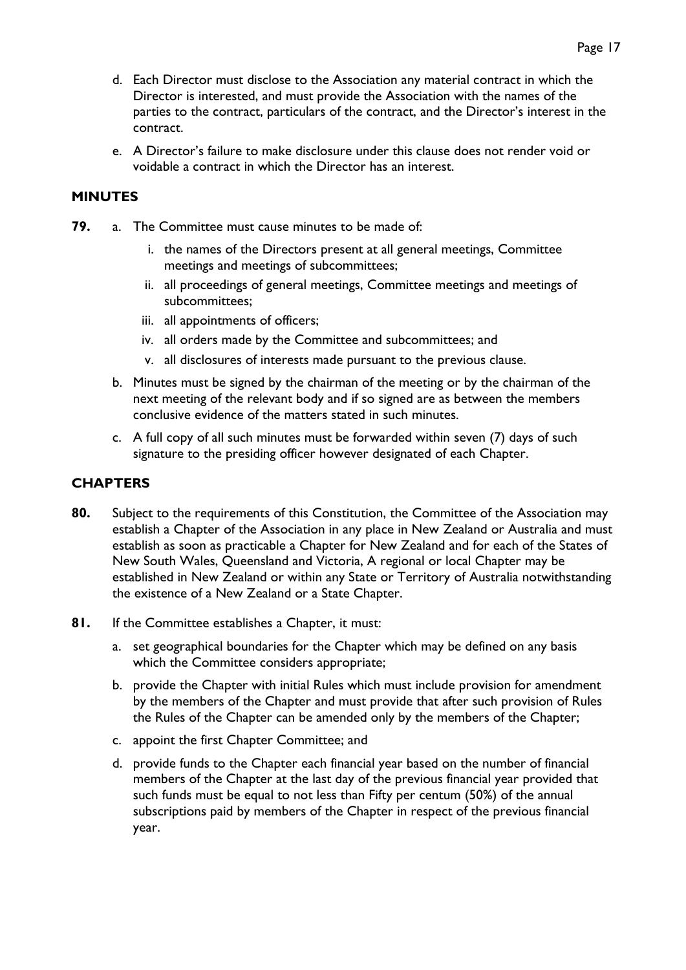- d. Each Director must disclose to the Association any material contract in which the Director is interested, and must provide the Association with the names of the parties to the contract, particulars of the contract, and the Director's interest in the contract.
- e. A Director's failure to make disclosure under this clause does not render void or voidable a contract in which the Director has an interest.

### <span id="page-16-0"></span>**MINUTES**

- **79.** a. The Committee must cause minutes to be made of:
	- i. the names of the Directors present at all general meetings, Committee meetings and meetings of subcommittees;
	- ii. all proceedings of general meetings, Committee meetings and meetings of subcommittees;
	- iii. all appointments of officers;
	- iv. all orders made by the Committee and subcommittees; and
	- v. all disclosures of interests made pursuant to the previous clause.
	- b. Minutes must be signed by the chairman of the meeting or by the chairman of the next meeting of the relevant body and if so signed are as between the members conclusive evidence of the matters stated in such minutes.
	- c. A full copy of all such minutes must be forwarded within seven (7) days of such signature to the presiding officer however designated of each Chapter.

### <span id="page-16-1"></span>**CHAPTERS**

- **80.** Subject to the requirements of this Constitution, the Committee of the Association may establish a Chapter of the Association in any place in New Zealand or Australia and must establish as soon as practicable a Chapter for New Zealand and for each of the States of New South Wales, Queensland and Victoria, A regional or local Chapter may be established in New Zealand or within any State or Territory of Australia notwithstanding the existence of a New Zealand or a State Chapter.
- **81.** If the Committee establishes a Chapter, it must:
	- a. set geographical boundaries for the Chapter which may be defined on any basis which the Committee considers appropriate;
	- b. provide the Chapter with initial Rules which must include provision for amendment by the members of the Chapter and must provide that after such provision of Rules the Rules of the Chapter can be amended only by the members of the Chapter;
	- c. appoint the first Chapter Committee; and
	- d. provide funds to the Chapter each financial year based on the number of financial members of the Chapter at the last day of the previous financial year provided that such funds must be equal to not less than Fifty per centum (50%) of the annual subscriptions paid by members of the Chapter in respect of the previous financial year.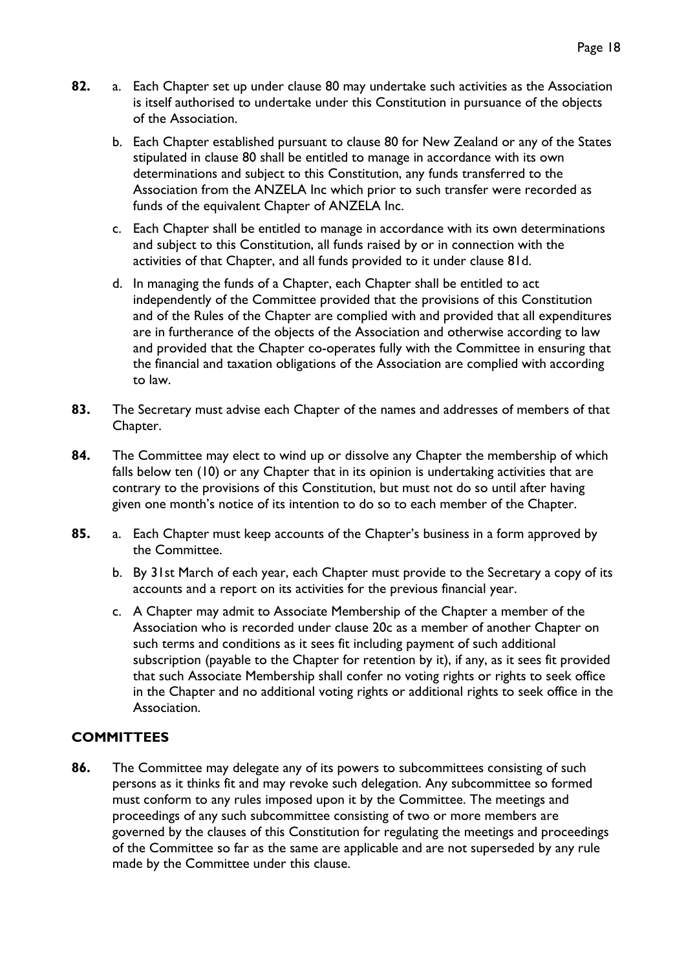- **82.** a. Each Chapter set up under clause 80 may undertake such activities as the Association is itself authorised to undertake under this Constitution in pursuance of the objects of the Association.
	- b. Each Chapter established pursuant to clause 80 for New Zealand or any of the States stipulated in clause 80 shall be entitled to manage in accordance with its own determinations and subject to this Constitution, any funds transferred to the Association from the ANZELA Inc which prior to such transfer were recorded as funds of the equivalent Chapter of ANZELA Inc.
	- c. Each Chapter shall be entitled to manage in accordance with its own determinations and subject to this Constitution, all funds raised by or in connection with the activities of that Chapter, and all funds provided to it under clause 81d.
	- d. In managing the funds of a Chapter, each Chapter shall be entitled to act independently of the Committee provided that the provisions of this Constitution and of the Rules of the Chapter are complied with and provided that all expenditures are in furtherance of the objects of the Association and otherwise according to law and provided that the Chapter co-operates fully with the Committee in ensuring that the financial and taxation obligations of the Association are complied with according to law.
- **83.** The Secretary must advise each Chapter of the names and addresses of members of that Chapter.
- **84.** The Committee may elect to wind up or dissolve any Chapter the membership of which falls below ten (10) or any Chapter that in its opinion is undertaking activities that are contrary to the provisions of this Constitution, but must not do so until after having given one month's notice of its intention to do so to each member of the Chapter.
- **85.** a. Each Chapter must keep accounts of the Chapter's business in a form approved by the Committee.
	- b. By 31st March of each year, each Chapter must provide to the Secretary a copy of its accounts and a report on its activities for the previous financial year.
	- c. A Chapter may admit to Associate Membership of the Chapter a member of the Association who is recorded under clause 20c as a member of another Chapter on such terms and conditions as it sees fit including payment of such additional subscription (payable to the Chapter for retention by it), if any, as it sees fit provided that such Associate Membership shall confer no voting rights or rights to seek office in the Chapter and no additional voting rights or additional rights to seek office in the Association.

### <span id="page-17-0"></span>**COMMITTEES**

**86.** The Committee may delegate any of its powers to subcommittees consisting of such persons as it thinks fit and may revoke such delegation. Any subcommittee so formed must conform to any rules imposed upon it by the Committee. The meetings and proceedings of any such subcommittee consisting of two or more members are governed by the clauses of this Constitution for regulating the meetings and proceedings of the Committee so far as the same are applicable and are not superseded by any rule made by the Committee under this clause.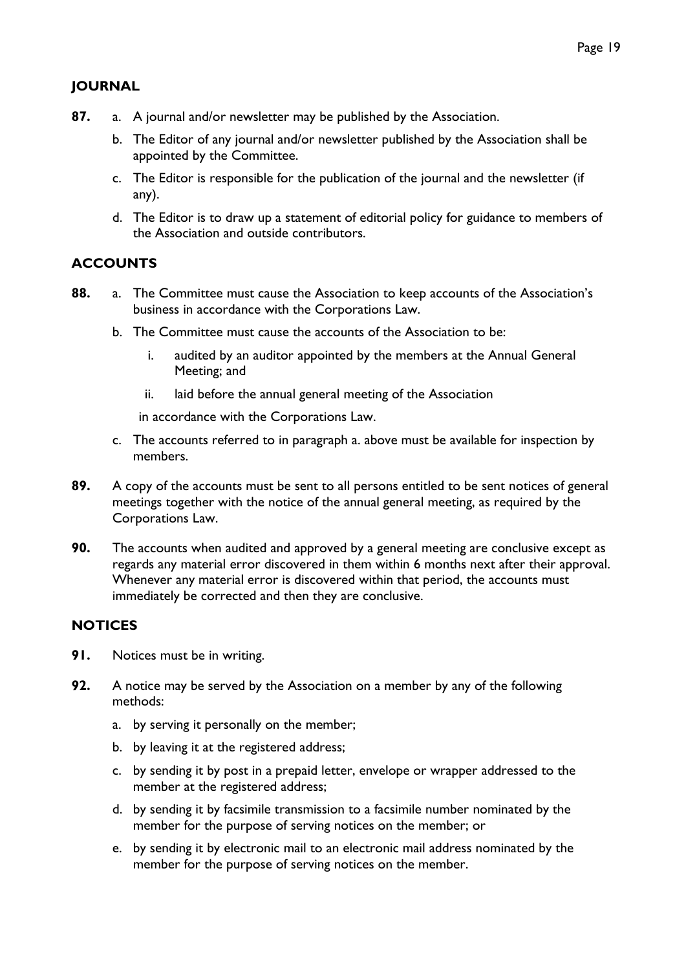# <span id="page-18-0"></span>**JOURNAL**

- **87.** a. A journal and/or newsletter may be published by the Association.
	- b. The Editor of any journal and/or newsletter published by the Association shall be appointed by the Committee.
	- c. The Editor is responsible for the publication of the journal and the newsletter (if any).
	- d. The Editor is to draw up a statement of editorial policy for guidance to members of the Association and outside contributors.

# <span id="page-18-1"></span>**ACCOUNTS**

- **88.** a. The Committee must cause the Association to keep accounts of the Association's business in accordance with the Corporations Law.
	- b. The Committee must cause the accounts of the Association to be:
		- i. audited by an auditor appointed by the members at the Annual General Meeting; and
		- ii. laid before the annual general meeting of the Association

in accordance with the Corporations Law.

- c. The accounts referred to in paragraph a. above must be available for inspection by members.
- **89.** A copy of the accounts must be sent to all persons entitled to be sent notices of general meetings together with the notice of the annual general meeting, as required by the Corporations Law.
- **90.** The accounts when audited and approved by a general meeting are conclusive except as regards any material error discovered in them within 6 months next after their approval. Whenever any material error is discovered within that period, the accounts must immediately be corrected and then they are conclusive.

### <span id="page-18-2"></span>**NOTICES**

- **91.** Notices must be in writing.
- **92.** A notice may be served by the Association on a member by any of the following methods:
	- a. by serving it personally on the member;
	- b. by leaving it at the registered address;
	- c. by sending it by post in a prepaid letter, envelope or wrapper addressed to the member at the registered address;
	- d. by sending it by facsimile transmission to a facsimile number nominated by the member for the purpose of serving notices on the member; or
	- e. by sending it by electronic mail to an electronic mail address nominated by the member for the purpose of serving notices on the member.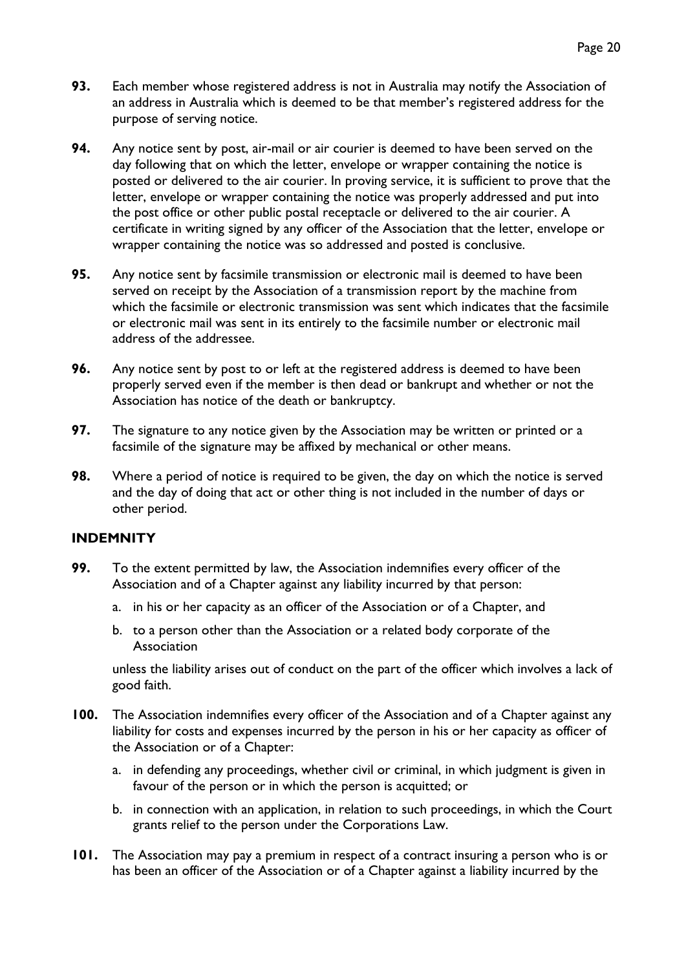- **93.** Each member whose registered address is not in Australia may notify the Association of an address in Australia which is deemed to be that member's registered address for the purpose of serving notice.
- **94.** Any notice sent by post, air-mail or air courier is deemed to have been served on the day following that on which the letter, envelope or wrapper containing the notice is posted or delivered to the air courier. In proving service, it is sufficient to prove that the letter, envelope or wrapper containing the notice was properly addressed and put into the post office or other public postal receptacle or delivered to the air courier. A certificate in writing signed by any officer of the Association that the letter, envelope or wrapper containing the notice was so addressed and posted is conclusive.
- **95.** Any notice sent by facsimile transmission or electronic mail is deemed to have been served on receipt by the Association of a transmission report by the machine from which the facsimile or electronic transmission was sent which indicates that the facsimile or electronic mail was sent in its entirely to the facsimile number or electronic mail address of the addressee.
- **96.** Any notice sent by post to or left at the registered address is deemed to have been properly served even if the member is then dead or bankrupt and whether or not the Association has notice of the death or bankruptcy.
- **97.** The signature to any notice given by the Association may be written or printed or a facsimile of the signature may be affixed by mechanical or other means.
- **98.** Where a period of notice is required to be given, the day on which the notice is served and the day of doing that act or other thing is not included in the number of days or other period.

#### <span id="page-19-0"></span>**INDEMNITY**

- **99.** To the extent permitted by law, the Association indemnifies every officer of the Association and of a Chapter against any liability incurred by that person:
	- a. in his or her capacity as an officer of the Association or of a Chapter, and
	- b. to a person other than the Association or a related body corporate of the Association

unless the liability arises out of conduct on the part of the officer which involves a lack of good faith.

- **100.** The Association indemnifies every officer of the Association and of a Chapter against any liability for costs and expenses incurred by the person in his or her capacity as officer of the Association or of a Chapter:
	- a. in defending any proceedings, whether civil or criminal, in which judgment is given in favour of the person or in which the person is acquitted; or
	- b. in connection with an application, in relation to such proceedings, in which the Court grants relief to the person under the Corporations Law.
- **101.** The Association may pay a premium in respect of a contract insuring a person who is or has been an officer of the Association or of a Chapter against a liability incurred by the